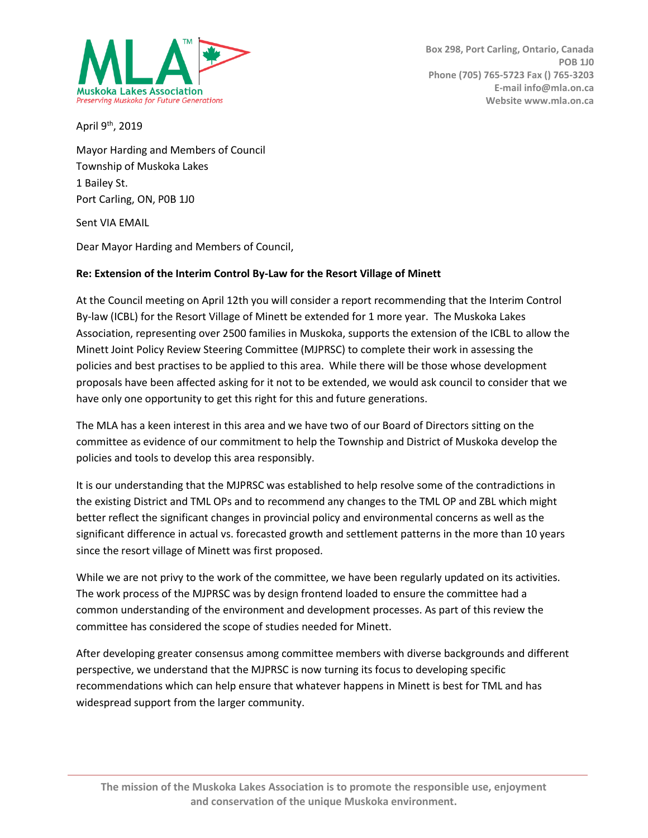

April  $9<sup>th</sup>$ , 2019

Mayor Harding and Members of Council Township of Muskoka Lakes 1 Bailey St. Port Carling, ON, P0B 1J0

Sent VIA EMAIL

Dear Mayor Harding and Members of Council,

## **Re: Extension of the Interim Control By-Law for the Resort Village of Minett**

At the Council meeting on April 12th you will consider a report recommending that the Interim Control By-law (ICBL) for the Resort Village of Minett be extended for 1 more year. The Muskoka Lakes Association, representing over 2500 families in Muskoka, supports the extension of the ICBL to allow the Minett Joint Policy Review Steering Committee (MJPRSC) to complete their work in assessing the policies and best practises to be applied to this area. While there will be those whose development proposals have been affected asking for it not to be extended, we would ask council to consider that we have only one opportunity to get this right for this and future generations.

The MLA has a keen interest in this area and we have two of our Board of Directors sitting on the committee as evidence of our commitment to help the Township and District of Muskoka develop the policies and tools to develop this area responsibly.

It is our understanding that the MJPRSC was established to help resolve some of the contradictions in the existing District and TML OPs and to recommend any changes to the TML OP and ZBL which might better reflect the significant changes in provincial policy and environmental concerns as well as the significant difference in actual vs. forecasted growth and settlement patterns in the more than 10 years since the resort village of Minett was first proposed.

While we are not privy to the work of the committee, we have been regularly updated on its activities. The work process of the MJPRSC was by design frontend loaded to ensure the committee had a common understanding of the environment and development processes. As part of this review the committee has considered the scope of studies needed for Minett.

After developing greater consensus among committee members with diverse backgrounds and different perspective, we understand that the MJPRSC is now turning its focus to developing specific recommendations which can help ensure that whatever happens in Minett is best for TML and has widespread support from the larger community.